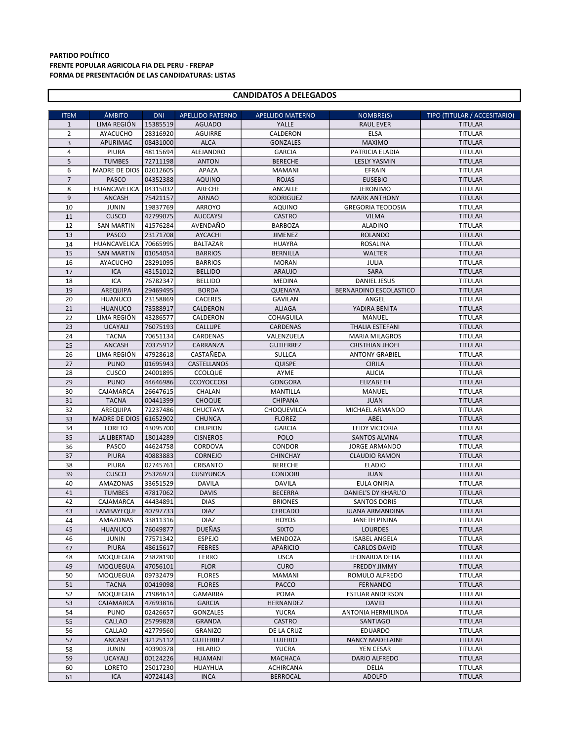## PARTIDO POLÍTICO FRENTE POPULAR AGRICOLA FIA DEL PERU - FREPAP FORMA DE PRESENTACIÓN DE LAS CANDIDATURAS: LISTAS

## CANDIDATOS A DELEGADOS

| <b>ITEM</b>    | <b>ÁMBITO</b>        | <b>DNI</b>           | <b>APELLIDO PATERNO</b>       | <b>APELLIDO MATERNO</b>        | NOMBRE(S)                             | TIPO (TITULAR / ACCESITARIO)     |
|----------------|----------------------|----------------------|-------------------------------|--------------------------------|---------------------------------------|----------------------------------|
| $\mathbf{1}$   | LIMA REGIÓN          | 15385519             | <b>AGUADO</b>                 | YALLE                          | <b>RAUL EVER</b>                      | <b>TITULAR</b>                   |
| $\overline{2}$ | <b>AYACUCHO</b>      | 28316920             | <b>AGUIRRE</b>                | CALDERON                       | <b>ELSA</b>                           | <b>TITULAR</b>                   |
| 3              | APURIMAC             | 08431000             | <b>ALCA</b>                   | <b>GONZALES</b>                | <b>MAXIMO</b>                         | <b>TITULAR</b>                   |
| $\overline{4}$ | PIURA                | 48115694             | ALEJANDRO                     | <b>GARCIA</b>                  | PATRICIA ELADIA                       | <b>TITULAR</b>                   |
| 5              | <b>TUMBES</b>        | 72711198             | <b>ANTON</b>                  | <b>BERECHE</b>                 | <b>LESLY YASMIN</b>                   | <b>TITULAR</b>                   |
| 6              | <b>MADRE DE DIOS</b> | 02012605             | APAZA                         | <b>MAMANI</b>                  | EFRAIN                                | <b>TITULAR</b>                   |
| $\overline{7}$ | <b>PASCO</b>         | 04352388             | <b>AQUINO</b>                 | <b>ROJAS</b>                   | <b>EUSEBIO</b>                        | <b>TITULAR</b>                   |
| 8              | HUANCAVELICA         | 04315032             | ARECHE                        | ANCALLE                        | <b>JERONIMO</b>                       | <b>TITULAR</b>                   |
| $\overline{9}$ | <b>ANCASH</b>        | 75421157             | <b>ARNAO</b>                  | <b>RODRIGUEZ</b>               | <b>MARK ANTHONY</b>                   | <b>TITULAR</b>                   |
| 10             | <b>JUNIN</b>         | 19837769             | ARROYO                        | AQUINO                         | <b>GREGORIA TEODOSIA</b>              | <b>TITULAR</b>                   |
| 11             | CUSCO                | 42799075             | <b>AUCCAYSI</b>               | <b>CASTRO</b>                  | <b>VILMA</b>                          | <b>TITULAR</b>                   |
| 12             | <b>SAN MARTIN</b>    | 41576284             | AVENDAÑO                      | <b>BARBOZA</b>                 | <b>ALADINO</b>                        | <b>TITULAR</b>                   |
| 13             | <b>PASCO</b>         | 23171708             | AYCACHI                       | <b>JIMENEZ</b>                 | <b>ROLANDO</b>                        | <b>TITULAR</b>                   |
| 14             | HUANCAVELICA         | 70665995             | <b>BALTAZAR</b>               | <b>HUAYRA</b>                  | <b>ROSALINA</b>                       | <b>TITULAR</b>                   |
| 15             | <b>SAN MARTIN</b>    | 01054054             | <b>BARRIOS</b>                | <b>BERNILLA</b>                | <b>WALTER</b>                         | <b>TITULAR</b>                   |
| 16             | <b>AYACUCHO</b>      | 28291095             | <b>BARRIOS</b>                | <b>MORAN</b>                   | JULIA                                 | <b>TITULAR</b>                   |
| 17             | <b>ICA</b>           | 43151012             | <b>BELLIDO</b>                | <b>ARAUJO</b>                  | SARA                                  | <b>TITULAR</b>                   |
| 18             | ICA                  | 76782347             | <b>BELLIDO</b>                | <b>MEDINA</b>                  | <b>DANIEL JESUS</b>                   | <b>TITULAR</b>                   |
| 19             | AREQUIPA             | 29469495             | <b>BORDA</b>                  | QUENAYA                        | BERNARDINO ESCOLASTICO                | <b>TITULAR</b>                   |
| 20             | <b>HUANUCO</b>       | 23158869             | <b>CACERES</b>                | <b>GAVILAN</b>                 | ANGEL                                 | <b>TITULAR</b>                   |
| 21             | <b>HUANUCO</b>       | 73588917             | CALDERON                      | <b>ALIAGA</b>                  | YADIRA BENITA                         | <b>TITULAR</b>                   |
| 22             | LIMA REGIÓN          | 43286577             | CALDERON                      | <b>COHAGUILA</b>               | MANUEL                                | <b>TITULAR</b>                   |
| 23             | <b>UCAYALI</b>       | 76075193             | <b>CALLUPE</b>                | CARDENAS                       | <b>THALIA ESTEFANI</b>                | <b>TITULAR</b>                   |
| 24             | <b>TACNA</b>         | 70651134             | CARDENAS                      | VALENZUELA                     | <b>MARIA MILAGROS</b>                 | <b>TITULAR</b>                   |
| 25             | ANCASH               | 70375912             | CARRANZA                      | <b>GUTIERREZ</b>               | <b>CRISTHIAN JHOEL</b>                | <b>TITULAR</b>                   |
| 26             | LIMA REGIÓN          | 47928618             | CASTAÑEDA                     | <b>SULLCA</b>                  | <b>ANTONY GRABIEL</b>                 | <b>TITULAR</b>                   |
| 27             | <b>PUNO</b>          | 01695943             | CASTELLANOS                   | <b>QUISPE</b>                  | <b>CIRILA</b>                         | <b>TITULAR</b>                   |
| 28             | CUSCO                | 24001895             | <b>CCOLQUE</b>                | AYME                           | <b>ALICIA</b>                         | <b>TITULAR</b>                   |
| 29             | <b>PUNO</b>          | 44646986             | <b>CCOYOCCOSI</b>             | <b>GONGORA</b>                 | <b>ELIZABETH</b>                      | <b>TITULAR</b>                   |
| 30             | CAJAMARCA            | 26647615             | CHALAN                        | <b>MANTILLA</b>                | MANUEL                                | <b>TITULAR</b>                   |
| 31             | <b>TACNA</b>         | 00441399             | <b>CHOQUE</b>                 | CHIPANA                        | <b>JUAN</b>                           | <b>TITULAR</b>                   |
| 32             | AREQUIPA             | 72237486             | <b>CHUCTAYA</b>               | CHOQUEVILCA                    | MICHAEL ARMANDO                       | <b>TITULAR</b>                   |
| 33             | <b>MADRE DE DIOS</b> | 61652902             | <b>CHUNCA</b>                 | <b>FLOREZ</b>                  | ABEL                                  | <b>TITULAR</b>                   |
| 34             | LORETO               | 43095700             | <b>CHUPION</b>                | <b>GARCIA</b>                  | LEIDY VICTORIA                        | <b>TITULAR</b>                   |
| 35             | LA LIBERTAD          | 18014289             | <b>CISNEROS</b>               | POLO                           | SANTOS ALVINA                         | <b>TITULAR</b>                   |
| 36             | PASCO                | 44624758             | CORDOVA                       | CONDOR                         | <b>JORGE ARMANDO</b>                  | <b>TITULAR</b>                   |
| 37             | <b>PIURA</b>         | 40883883             | CORNEJO                       | <b>CHINCHAY</b>                | <b>CLAUDIO RAMON</b>                  | <b>TITULAR</b>                   |
| 38             | <b>PIURA</b>         | 02745761             | CRISANTO                      | <b>BERECHE</b>                 | <b>ELADIO</b>                         | <b>TITULAR</b>                   |
| 39             | <b>CUSCO</b>         | 25326973             | <b>CUSIYUNCA</b>              | <b>CONDORI</b>                 | <b>JUAN</b>                           | <b>TITULAR</b>                   |
| 40             | <b>AMAZONAS</b>      | 33651529             | <b>DAVILA</b>                 | <b>DAVILA</b>                  | <b>EULA ONIRIA</b>                    | <b>TITULAR</b>                   |
| 41             | <b>TUMBES</b>        | 47817062             | <b>DAVIS</b>                  | <b>BECERRA</b>                 | DANIEL'S DY KHARL'O                   | <b>TITULAR</b>                   |
| 42             | CAJAMARCA            | 44434891             | <b>DIAS</b>                   | <b>BRIONES</b>                 | <b>SANTOS DORIS</b>                   | <b>TITULAR</b>                   |
| 43             | LAMBAYEQUE           | 40797733             | <b>DIAZ</b>                   | <b>CERCADO</b>                 | <b>JUANA ARMANDINA</b>                | <b>TITULAR</b>                   |
| 44             | AMAZONAS             | 33811316             | <b>DIAZ</b>                   | <b>HOYOS</b>                   | <b>JANETH PININA</b>                  | <b>TITULAR</b>                   |
| 45             | <b>HUANUCO</b>       | 76049877             | <b>DUEÑAS</b>                 | <b>SIXTO</b>                   | <b>LOURDES</b>                        | <b>TITULAR</b>                   |
| 46             | <b>JUNIN</b>         | 77571342             | <b>ESPEJO</b>                 | MENDOZA                        | <b>ISABEL ANGELA</b>                  | <b>TITULAR</b><br><b>TITULAR</b> |
| 47<br>48       | PIURA<br>MOQUEGUA    | 48615617<br>23828190 | <b>FEBRES</b><br><b>FERRO</b> | <b>APARICIO</b><br><b>USCA</b> | <b>CARLOS DAVID</b><br>LEONARDA DELIA | <b>TITULAR</b>                   |
| 49             | MOQUEGUA             | 47056101             | <b>FLOR</b>                   | <b>CURO</b>                    |                                       | <b>TITULAR</b>                   |
| 50             | MOQUEGUA             | 09732479             | <b>FLORES</b>                 | <b>MAMANI</b>                  | FREDDY JIMMY<br>ROMULO ALFREDO        | <b>TITULAR</b>                   |
| 51             | <b>TACNA</b>         | 00419098             | <b>FLORES</b>                 | PACCO                          | FERNANDO                              | <b>TITULAR</b>                   |
| 52             | MOQUEGUA             | 71984614             | <b>GAMARRA</b>                | POMA                           | <b>ESTUAR ANDERSON</b>                | <b>TITULAR</b>                   |
| 53             | CAJAMARCA            | 47693816             | <b>GARCIA</b>                 | HERNANDEZ                      | DAVID                                 | <b>TITULAR</b>                   |
| 54             | <b>PUNO</b>          | 02426657             | GONZALES                      | <b>YUCRA</b>                   | ANTONIA HERMILINDA                    | <b>TITULAR</b>                   |
| 55             | CALLAO               | 25799828             | GRANDA                        | CASTRO                         | SANTIAGO                              | <b>TITULAR</b>                   |
| 56             | CALLAO               | 42779560             | GRANIZO                       | DE LA CRUZ                     | <b>EDUARDO</b>                        | <b>TITULAR</b>                   |
| 57             | ANCASH               | 32125112             | <b>GUTIERREZ</b>              | <b>LUJERIO</b>                 | <b>NANCY MADELAINE</b>                | <b>TITULAR</b>                   |
| 58             | <b>JUNIN</b>         | 40390378             | <b>HILARIO</b>                | <b>YUCRA</b>                   | YEN CESAR                             | <b>TITULAR</b>                   |
| 59             | <b>UCAYALI</b>       | 00124226             | HUAMANI                       | <b>MACHACA</b>                 | DARIO ALFREDO                         | <b>TITULAR</b>                   |
| 60             | LORETO               | 25017230             | HUAYHUA                       | ACHIRCANA                      | DELIA                                 | <b>TITULAR</b>                   |
| 61             | ICA                  | 40724143             | <b>INCA</b>                   | <b>BERROCAL</b>                | <b>ADOLFO</b>                         | <b>TITULAR</b>                   |
|                |                      |                      |                               |                                |                                       |                                  |